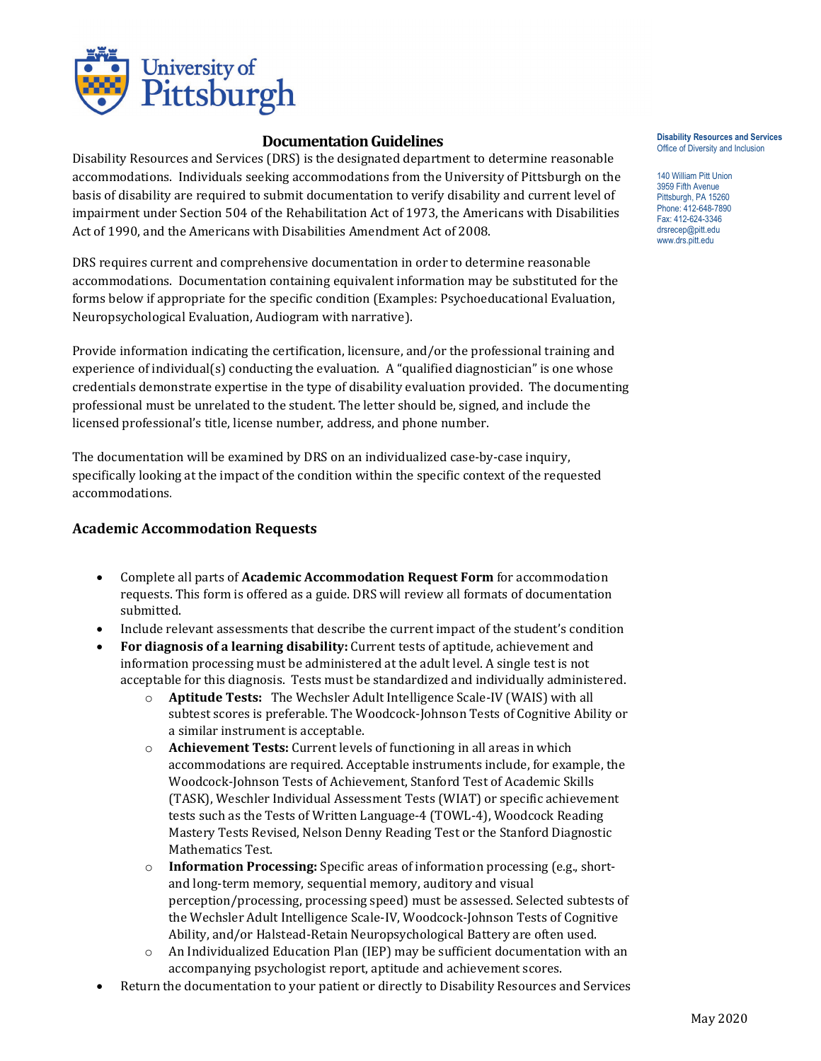

# **Documentation Guidelines**

Disability Resources and Services (DRS) is the designated department to determine reasonable accommodations. Individuals seeking accommodations from the University of Pittsburgh on the basis of disability are required to submit documentation to verify disability and current level of impairment under Section 504 of the Rehabilitation Act of 1973, the Americans with Disabilities Act of 1990, and the Americans with Disabilities Amendment Act of 2008.

DRS requires current and comprehensive documentation in order to determine reasonable accommodations. Documentation containing equivalent information may be substituted for the forms below if appropriate for the specific condition (Examples: Psychoeducational Evaluation, Neuropsychological Evaluation, Audiogram with narrative).

Provide information indicating the certification, licensure, and/or the professional training and experience of individual(s) conducting the evaluation. A "qualified diagnostician" is one whose credentials demonstrate expertise in the type of disability evaluation provided. The documenting professional must be unrelated to the student. The letter should be, signed, and include the licensed professional's title, license number, address, and phone number.

The documentation will be examined by DRS on an individualized case-by-case inquiry, specifically looking at the impact of the condition within the specific context of the requested accommodations.

## **Academic Accommodation Requests**

- Complete all parts of **Academic Accommodation Request Form** for accommodation requests. This form is offered as a guide. DRS will review all formats of documentation submitted.
- Include relevant assessments that describe the current impact of the student's condition
- **For diagnosis of a learning disability:** Current tests of aptitude, achievement and information processing must be administered at the adult level. A single test is not acceptable for this diagnosis. Tests must be standardized and individually administered.
	- o **Aptitude Tests:** The Wechsler Adult Intelligence Scale-IV (WAIS) with all subtest scores is preferable. The Woodcock-Johnson Tests of Cognitive Ability or a similar instrument is acceptable.
	- o **Achievement Tests:** Current levels of functioning in all areas in which accommodations are required. Acceptable instruments include, for example, the Woodcock-Johnson Tests of Achievement, Stanford Test of Academic Skills (TASK), Weschler Individual Assessment Tests (WIAT) or specific achievement tests such as the Tests of Written Language-4 (TOWL-4), Woodcock Reading Mastery Tests Revised, Nelson Denny Reading Test or the Stanford Diagnostic Mathematics Test.
	- o **Information Processing:** Specific areas of information processing (e.g., shortand long-term memory, sequential memory, auditory and visual perception/processing, processing speed) must be assessed. Selected subtests of the Wechsler Adult Intelligence Scale-IV, Woodcock-Johnson Tests of Cognitive Ability, and/or Halstead-Retain Neuropsychological Battery are often used.
	- $\circ$  An Individualized Education Plan (IEP) may be sufficient documentation with an accompanying psychologist report, aptitude and achievement scores.
- Return the documentation to your patient or directly to Disability Resources and Services

#### **Disability Resources and Services** Office of Diversity and Inclusion

140 William Pitt Union 3959 Fifth Avenue Pittsburgh, PA 15260 Phone: 412-648-7890 Fax: 412-624-3346 www.drs.pitt.edu